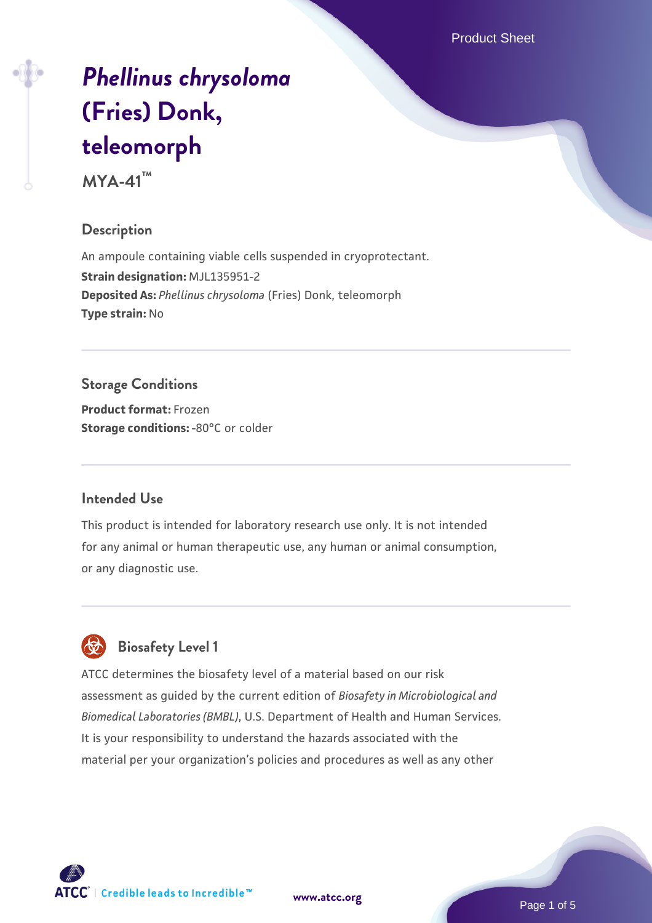Product Sheet

# *[Phellinus chrysoloma](https://www.atcc.org/products/mya-41)* **[\(Fries\) Donk,](https://www.atcc.org/products/mya-41) [teleomorph](https://www.atcc.org/products/mya-41)**

**MYA-41™**

#### **Description**

An ampoule containing viable cells suspended in cryoprotectant. **Strain designation:** MJL135951-2 **Deposited As:** *Phellinus chrysoloma* (Fries) Donk, teleomorph **Type strain:** No

#### **Storage Conditions**

**Product format:** Frozen **Storage conditions: -80°C** or colder

#### **Intended Use**

This product is intended for laboratory research use only. It is not intended for any animal or human therapeutic use, any human or animal consumption, or any diagnostic use.



### **Biosafety Level 1**

ATCC determines the biosafety level of a material based on our risk assessment as guided by the current edition of *Biosafety in Microbiological and Biomedical Laboratories (BMBL)*, U.S. Department of Health and Human Services. It is your responsibility to understand the hazards associated with the material per your organization's policies and procedures as well as any other

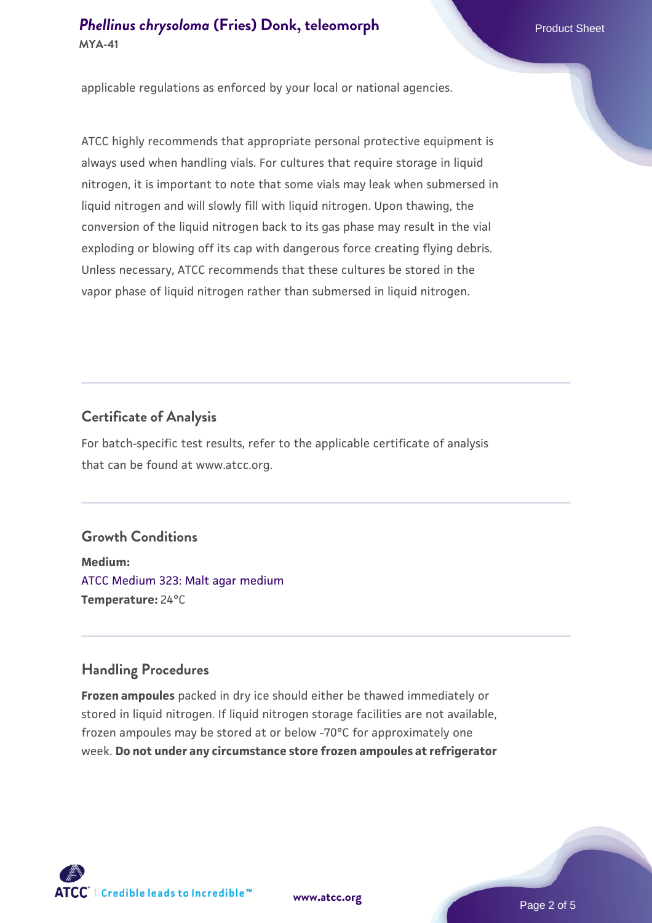#### **[Phellinus chrysoloma](https://www.atcc.org/products/mya-41) [\(Fries\) Donk, teleomorph](https://www.atcc.org/products/mya-41)** Product Sheet **MYA-41**

applicable regulations as enforced by your local or national agencies.

ATCC highly recommends that appropriate personal protective equipment is always used when handling vials. For cultures that require storage in liquid nitrogen, it is important to note that some vials may leak when submersed in liquid nitrogen and will slowly fill with liquid nitrogen. Upon thawing, the conversion of the liquid nitrogen back to its gas phase may result in the vial exploding or blowing off its cap with dangerous force creating flying debris. Unless necessary, ATCC recommends that these cultures be stored in the vapor phase of liquid nitrogen rather than submersed in liquid nitrogen.

#### **Certificate of Analysis**

For batch-specific test results, refer to the applicable certificate of analysis that can be found at www.atcc.org.

#### **Growth Conditions**

**Medium:**  [ATCC Medium 323: Malt agar medium](https://www.atcc.org/-/media/product-assets/documents/microbial-media-formulations/3/2/3/atcc-medium-323.pdf?rev=58d6457ee20149d7a1c844947569ef92) **Temperature:** 24°C

#### **Handling Procedures**

**Frozen ampoules** packed in dry ice should either be thawed immediately or stored in liquid nitrogen. If liquid nitrogen storage facilities are not available, frozen ampoules may be stored at or below -70°C for approximately one week. **Do not under any circumstance store frozen ampoules at refrigerator**

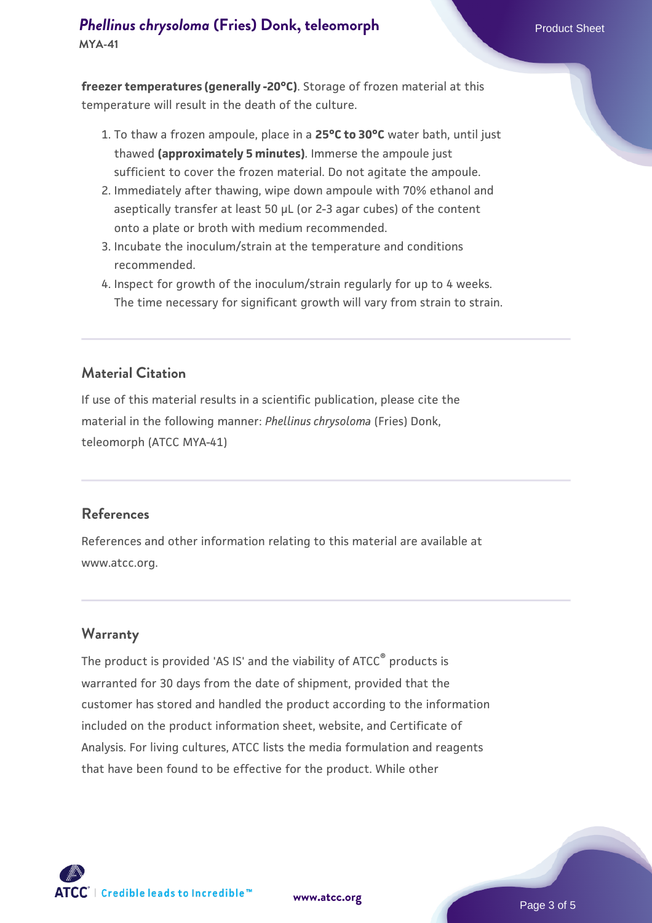## **[Phellinus chrysoloma](https://www.atcc.org/products/mya-41) [\(Fries\) Donk, teleomorph](https://www.atcc.org/products/mya-41)** Product Sheet

**MYA-41**

**freezer temperatures (generally -20°C)**. Storage of frozen material at this temperature will result in the death of the culture.

- 1. To thaw a frozen ampoule, place in a **25°C to 30°C** water bath, until just thawed **(approximately 5 minutes)**. Immerse the ampoule just sufficient to cover the frozen material. Do not agitate the ampoule.
- 2. Immediately after thawing, wipe down ampoule with 70% ethanol and aseptically transfer at least 50 µL (or 2-3 agar cubes) of the content onto a plate or broth with medium recommended.
- 3. Incubate the inoculum/strain at the temperature and conditions recommended.
- 4. Inspect for growth of the inoculum/strain regularly for up to 4 weeks. The time necessary for significant growth will vary from strain to strain.

#### **Material Citation**

If use of this material results in a scientific publication, please cite the material in the following manner: *Phellinus chrysoloma* (Fries) Donk, teleomorph (ATCC MYA-41)

#### **References**

References and other information relating to this material are available at www.atcc.org.

#### **Warranty**

The product is provided 'AS IS' and the viability of ATCC<sup>®</sup> products is warranted for 30 days from the date of shipment, provided that the customer has stored and handled the product according to the information included on the product information sheet, website, and Certificate of Analysis. For living cultures, ATCC lists the media formulation and reagents that have been found to be effective for the product. While other



**[www.atcc.org](http://www.atcc.org)**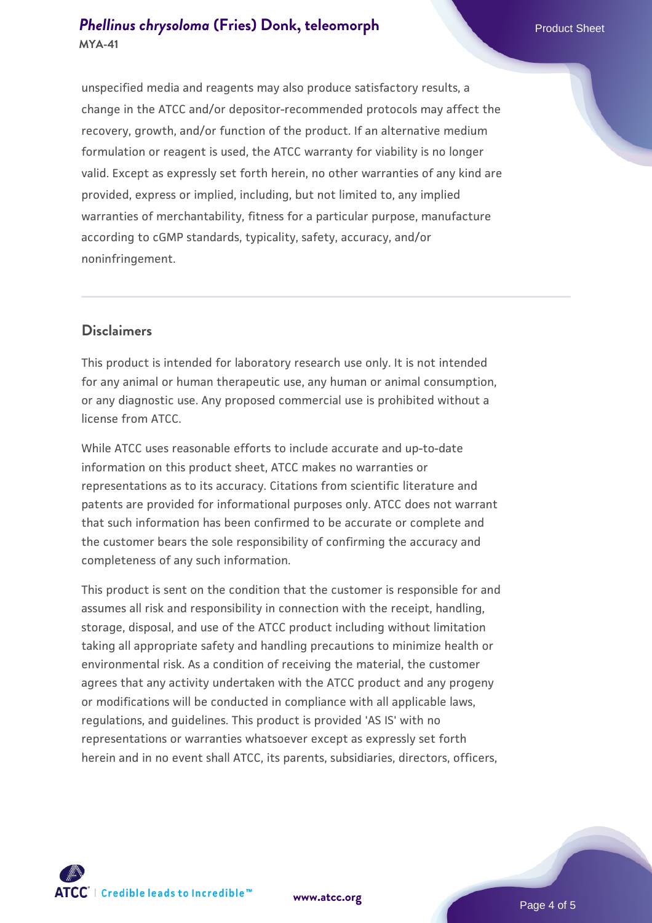#### **[Phellinus chrysoloma](https://www.atcc.org/products/mya-41) [\(Fries\) Donk, teleomorph](https://www.atcc.org/products/mya-41)** Product Sheet **MYA-41**

unspecified media and reagents may also produce satisfactory results, a change in the ATCC and/or depositor-recommended protocols may affect the recovery, growth, and/or function of the product. If an alternative medium formulation or reagent is used, the ATCC warranty for viability is no longer valid. Except as expressly set forth herein, no other warranties of any kind are provided, express or implied, including, but not limited to, any implied warranties of merchantability, fitness for a particular purpose, manufacture according to cGMP standards, typicality, safety, accuracy, and/or noninfringement.

#### **Disclaimers**

This product is intended for laboratory research use only. It is not intended for any animal or human therapeutic use, any human or animal consumption, or any diagnostic use. Any proposed commercial use is prohibited without a license from ATCC.

While ATCC uses reasonable efforts to include accurate and up-to-date information on this product sheet, ATCC makes no warranties or representations as to its accuracy. Citations from scientific literature and patents are provided for informational purposes only. ATCC does not warrant that such information has been confirmed to be accurate or complete and the customer bears the sole responsibility of confirming the accuracy and completeness of any such information.

This product is sent on the condition that the customer is responsible for and assumes all risk and responsibility in connection with the receipt, handling, storage, disposal, and use of the ATCC product including without limitation taking all appropriate safety and handling precautions to minimize health or environmental risk. As a condition of receiving the material, the customer agrees that any activity undertaken with the ATCC product and any progeny or modifications will be conducted in compliance with all applicable laws, regulations, and guidelines. This product is provided 'AS IS' with no representations or warranties whatsoever except as expressly set forth herein and in no event shall ATCC, its parents, subsidiaries, directors, officers,



**[www.atcc.org](http://www.atcc.org)**

Page 4 of 5